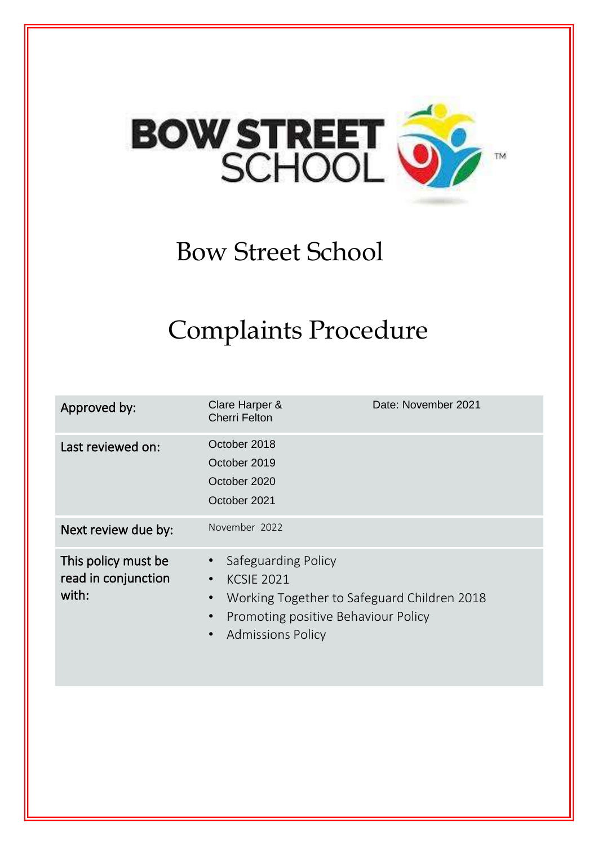

# Bow Street School

# Complaints Procedure

| Approved by:                                        | Clare Harper &<br><b>Cherri Felton</b>                                                                                                                                                                         | Date: November 2021 |
|-----------------------------------------------------|----------------------------------------------------------------------------------------------------------------------------------------------------------------------------------------------------------------|---------------------|
| Last reviewed on:                                   | October 2018<br>October 2019<br>October 2020<br>October 2021                                                                                                                                                   |                     |
| Next review due by:                                 | November 2022                                                                                                                                                                                                  |                     |
| This policy must be<br>read in conjunction<br>with: | Safeguarding Policy<br>$\bullet$<br><b>KCSIE 2021</b><br>$\bullet$<br>Working Together to Safeguard Children 2018<br>$\bullet$<br>Promoting positive Behaviour Policy<br>$\bullet$<br><b>Admissions Policy</b> |                     |
|                                                     |                                                                                                                                                                                                                |                     |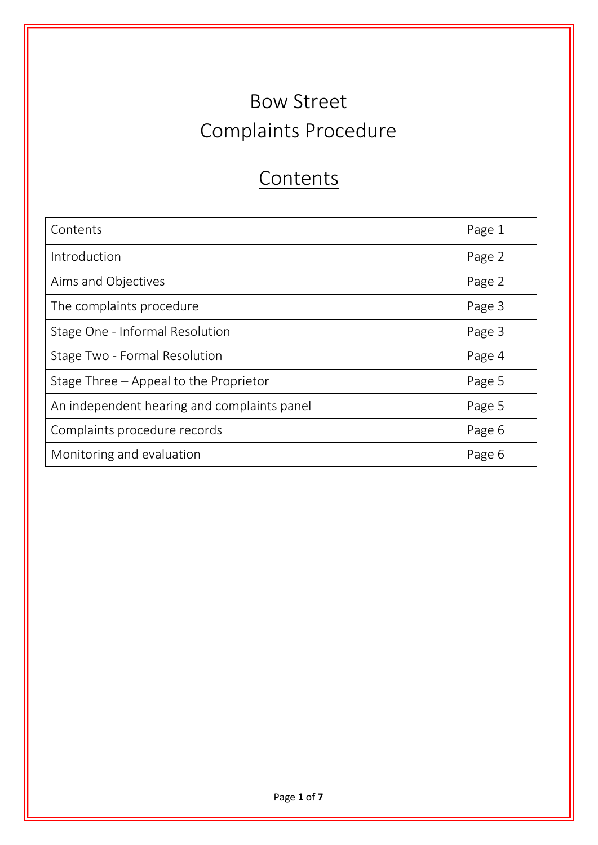# Bow Street Complaints Procedure

# **Contents**

| Contents                                    | Page 1 |
|---------------------------------------------|--------|
| Introduction                                | Page 2 |
| Aims and Objectives                         | Page 2 |
| The complaints procedure                    | Page 3 |
| Stage One - Informal Resolution             | Page 3 |
| Stage Two - Formal Resolution               | Page 4 |
| Stage Three – Appeal to the Proprietor      | Page 5 |
| An independent hearing and complaints panel | Page 5 |
| Complaints procedure records                | Page 6 |
| Monitoring and evaluation                   | Page 6 |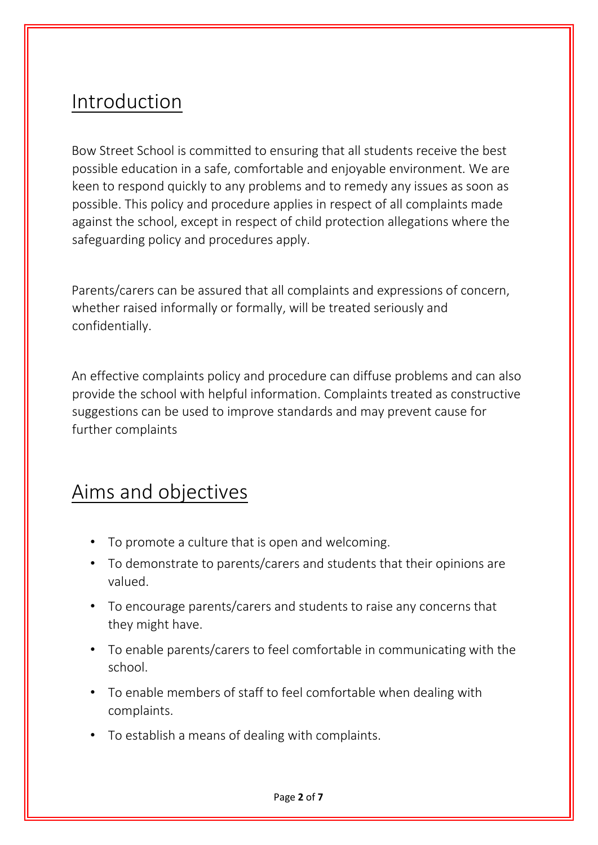#### Introduction

Bow Street School is committed to ensuring that all students receive the best possible education in a safe, comfortable and enjoyable environment. We are keen to respond quickly to any problems and to remedy any issues as soon as possible. This policy and procedure applies in respect of all complaints made against the school, except in respect of child protection allegations where the safeguarding policy and procedures apply.

Parents/carers can be assured that all complaints and expressions of concern, whether raised informally or formally, will be treated seriously and confidentially.

An effective complaints policy and procedure can diffuse problems and can also provide the school with helpful information. Complaints treated as constructive suggestions can be used to improve standards and may prevent cause for further complaints

#### Aims and objectives

- To promote a culture that is open and welcoming.
- To demonstrate to parents/carers and students that their opinions are valued.
- To encourage parents/carers and students to raise any concerns that they might have.
- To enable parents/carers to feel comfortable in communicating with the school.
- To enable members of staff to feel comfortable when dealing with complaints.
- To establish a means of dealing with complaints.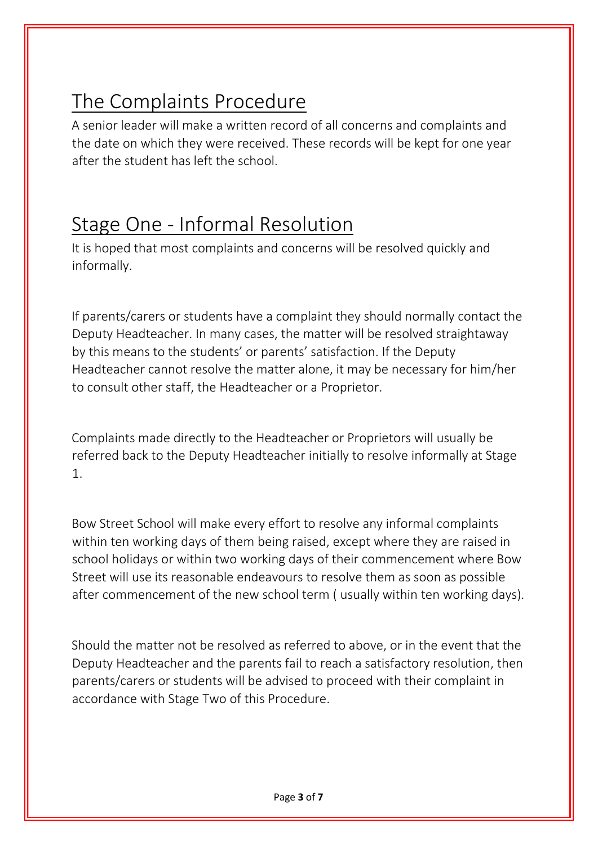### The Complaints Procedure

A senior leader will make a written record of all concerns and complaints and the date on which they were received. These records will be kept for one year after the student has left the school.

#### Stage One - Informal Resolution

It is hoped that most complaints and concerns will be resolved quickly and informally.

If parents/carers or students have a complaint they should normally contact the Deputy Headteacher. In many cases, the matter will be resolved straightaway by this means to the students' or parents' satisfaction. If the Deputy Headteacher cannot resolve the matter alone, it may be necessary for him/her to consult other staff, the Headteacher or a Proprietor.

Complaints made directly to the Headteacher or Proprietors will usually be referred back to the Deputy Headteacher initially to resolve informally at Stage 1.

Bow Street School will make every effort to resolve any informal complaints within ten working days of them being raised, except where they are raised in school holidays or within two working days of their commencement where Bow Street will use its reasonable endeavours to resolve them as soon as possible after commencement of the new school term ( usually within ten working days).

Should the matter not be resolved as referred to above, or in the event that the Deputy Headteacher and the parents fail to reach a satisfactory resolution, then parents/carers or students will be advised to proceed with their complaint in accordance with Stage Two of this Procedure.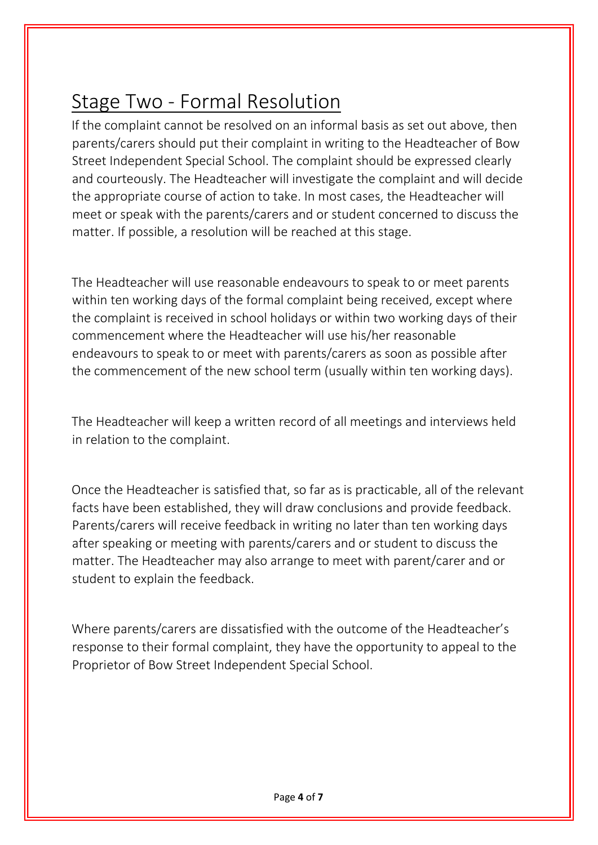#### Stage Two - Formal Resolution

If the complaint cannot be resolved on an informal basis as set out above, then parents/carers should put their complaint in writing to the Headteacher of Bow Street Independent Special School. The complaint should be expressed clearly and courteously. The Headteacher will investigate the complaint and will decide the appropriate course of action to take. In most cases, the Headteacher will meet or speak with the parents/carers and or student concerned to discuss the matter. If possible, a resolution will be reached at this stage.

The Headteacher will use reasonable endeavours to speak to or meet parents within ten working days of the formal complaint being received, except where the complaint is received in school holidays or within two working days of their commencement where the Headteacher will use his/her reasonable endeavours to speak to or meet with parents/carers as soon as possible after the commencement of the new school term (usually within ten working days).

The Headteacher will keep a written record of all meetings and interviews held in relation to the complaint.

Once the Headteacher is satisfied that, so far as is practicable, all of the relevant facts have been established, they will draw conclusions and provide feedback. Parents/carers will receive feedback in writing no later than ten working days after speaking or meeting with parents/carers and or student to discuss the matter. The Headteacher may also arrange to meet with parent/carer and or student to explain the feedback.

Where parents/carers are dissatisfied with the outcome of the Headteacher's response to their formal complaint, they have the opportunity to appeal to the Proprietor of Bow Street Independent Special School.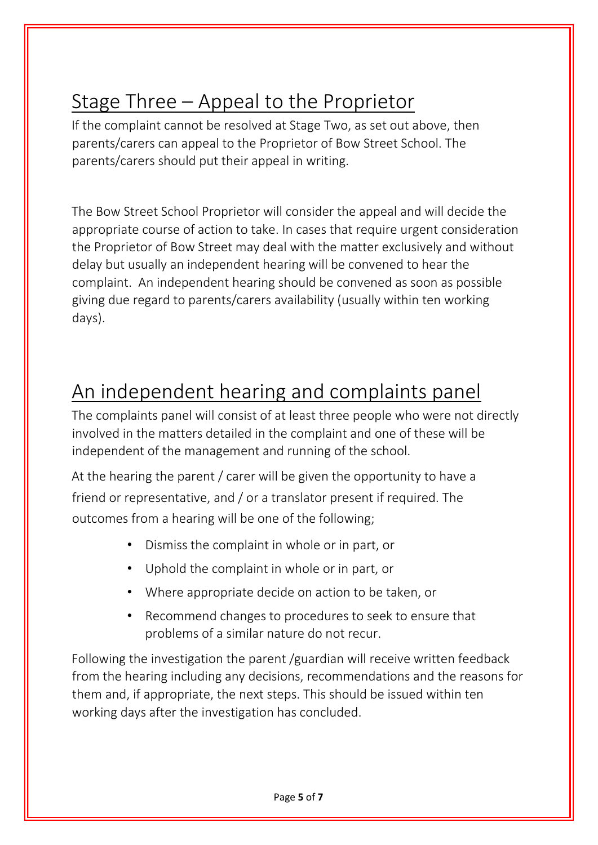## Stage Three – Appeal to the Proprietor

If the complaint cannot be resolved at Stage Two, as set out above, then parents/carers can appeal to the Proprietor of Bow Street School. The parents/carers should put their appeal in writing.

The Bow Street School Proprietor will consider the appeal and will decide the appropriate course of action to take. In cases that require urgent consideration the Proprietor of Bow Street may deal with the matter exclusively and without delay but usually an independent hearing will be convened to hear the complaint. An independent hearing should be convened as soon as possible giving due regard to parents/carers availability (usually within ten working days).

### An independent hearing and complaints panel

The complaints panel will consist of at least three people who were not directly involved in the matters detailed in the complaint and one of these will be independent of the management and running of the school.

At the hearing the parent / carer will be given the opportunity to have a friend or representative, and / or a translator present if required. The outcomes from a hearing will be one of the following;

- Dismiss the complaint in whole or in part, or
- Uphold the complaint in whole or in part, or
- Where appropriate decide on action to be taken, or
- Recommend changes to procedures to seek to ensure that problems of a similar nature do not recur.

Following the investigation the parent /guardian will receive written feedback from the hearing including any decisions, recommendations and the reasons for them and, if appropriate, the next steps. This should be issued within ten working days after the investigation has concluded.